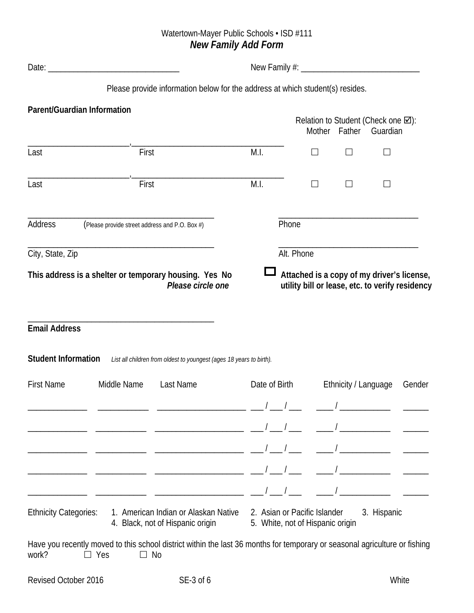## Watertown-Mayer Public Schools • ISD #111 *New Family Add Form*

|                                                    |                                                | Please provide information below for the address at which student(s) resides.                                                                                                                          |                             |                                                                  |                                                                |             |        |  |  |
|----------------------------------------------------|------------------------------------------------|--------------------------------------------------------------------------------------------------------------------------------------------------------------------------------------------------------|-----------------------------|------------------------------------------------------------------|----------------------------------------------------------------|-------------|--------|--|--|
| <b>Parent/Guardian Information</b>                 |                                                |                                                                                                                                                                                                        |                             |                                                                  | Relation to Student (Check one $\boxtimes$ ):<br>Mother Father | Guardian    |        |  |  |
| Last                                               | First                                          |                                                                                                                                                                                                        | M.I.                        | $\Box$                                                           | $\Box$                                                         |             |        |  |  |
| Last                                               | First                                          |                                                                                                                                                                                                        | M.I.                        | $\Box$                                                           |                                                                |             |        |  |  |
| Address                                            | (Please provide street address and P.O. Box #) |                                                                                                                                                                                                        |                             | Phone                                                            |                                                                |             |        |  |  |
| City, State, Zip                                   |                                                |                                                                                                                                                                                                        |                             | Alt. Phone                                                       |                                                                |             |        |  |  |
| <b>Email Address</b><br><b>Student Information</b> |                                                | Please circle one<br>List all children from oldest to youngest (ages 18 years to birth).                                                                                                               |                             | utility bill or lease, etc. to verify residency                  |                                                                |             |        |  |  |
| <b>First Name</b>                                  | Middle Name                                    | Last Name                                                                                                                                                                                              | Date of Birth<br>$\sqrt{2}$ |                                                                  | Ethnicity / Language                                           |             | Gender |  |  |
| <b>Ethnicity Categories:</b>                       |                                                | 1. American Indian or Alaskan Native<br>4. Black, not of Hispanic origin<br>Have you recently moved to this school district within the last 36 months for temporary or seasonal agriculture or fishing |                             | 2. Asian or Pacific Islander<br>5. White, not of Hispanic origin |                                                                | 3. Hispanic |        |  |  |
| work?                                              | $\Box$ Yes<br>$\Box$ No                        |                                                                                                                                                                                                        |                             |                                                                  |                                                                |             |        |  |  |